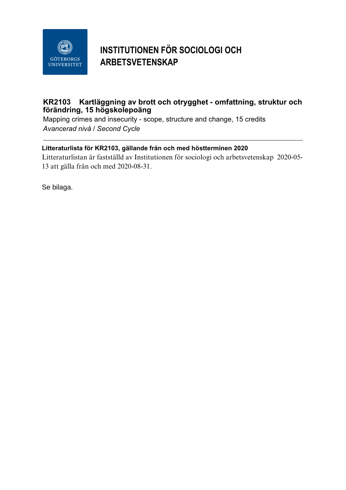

## **INSTITUTIONEN FÖR SOCIOLOGI OCH ARBETSVETENSKAP**

## **KR2103 Kartläggning av brott och otrygghet - omfattning, struktur och förändring, 15 högskolepoäng**

Mapping crimes and insecurity - scope, structure and change, 15 credits *Avancerad nivå / Second Cycle*

## **Litteraturlista för KR2103, gällande från och med höstterminen 2020**

Litteraturlistan är fastställd av Institutionen för sociologi och arbetsvetenskap 2020-05- 13 att gälla från och med 2020-08-31.

Se bilaga.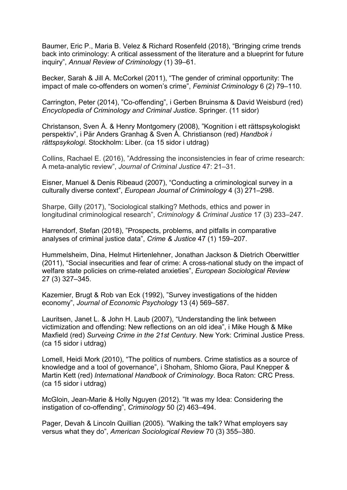Baumer, Eric P., Maria B. Velez & Richard Rosenfeld (2018), "Bringing crime trends back into criminology: A critical assessment of the literature and a blueprint for future inquiry", *Annual Review of Criminology* (1) 39–61.

Becker, Sarah & Jill A. McCorkel (2011), "The gender of criminal opportunity: The impact of male co-offenders on women's crime", *Feminist Criminology* 6 (2) 79–110.

Carrington, Peter (2014), "Co-offending", i Gerben Bruinsma & David Weisburd (red) *Encyclopedia of Criminology and Criminal Justice*. Springer. (11 sidor)

Christanson, Sven Å. & Henry Montgomery (2008), "Kognition i ett rättspsykologiskt perspektiv", i Pär Anders Granhag & Sven Å. Christianson (red) *Handbok i rättspsykologi*. Stockholm: Liber. (ca 15 sidor i utdrag)

Collins, Rachael E. (2016), "Addressing the inconsistencies in fear of crime research: A meta-analytic review", *Journal of Criminal Justice* 47: 21–31.

Eisner, Manuel & Denis Ribeaud (2007), "Conducting a criminological survey in a culturally diverse context", *European Journal of Criminology* 4 (3) 271–298.

Sharpe, Gilly (2017), "Sociological stalking? Methods, ethics and power in longitudinal criminological research", *Criminology & Criminal Justice* 17 (3) 233–247.

Harrendorf, Stefan (2018), "Prospects, problems, and pitfalls in comparative analyses of criminal justice data", *Crime & Justice* 47 (1) 159–207.

Hummelsheim, Dina, Helmut Hirtenlehner, Jonathan Jackson & Dietrich Oberwittler (2011), "Social insecurities and fear of crime: A cross-national study on the impact of welfare state policies on crime-related anxieties", *European Sociological Review*  27 (3) 327–345.

Kazemier, Brugt & Rob van Eck (1992), "Survey investigations of the hidden economy", *Journal of Economic Psychology* 13 (4) 569–587.

Lauritsen, Janet L. & John H. Laub (2007), "Understanding the link between victimization and offending: New reflections on an old idea", i Mike Hough & Mike Maxfield (red) *Surveing Crime in the 21st Century*. New York: Criminal Justice Press. (ca 15 sidor i utdrag)

Lomell, Heidi Mork (2010), "The politics of numbers. Crime statistics as a source of knowledge and a tool of governance", i Shoham, Shlomo Giora, Paul Knepper & Martin Kett (red) *International Handbook of Criminology*. Boca Raton: CRC Press. (ca 15 sidor i utdrag)

McGloin, Jean-Marie & Holly Nguyen (2012). "It was my Idea: Considering the instigation of co-offending", *Criminology* 50 (2) 463–494.

Pager, Devah & Lincoln Quillian (2005). "Walking the talk? What employers say versus what they do", *American Sociological Review* 70 (3) 355–380.